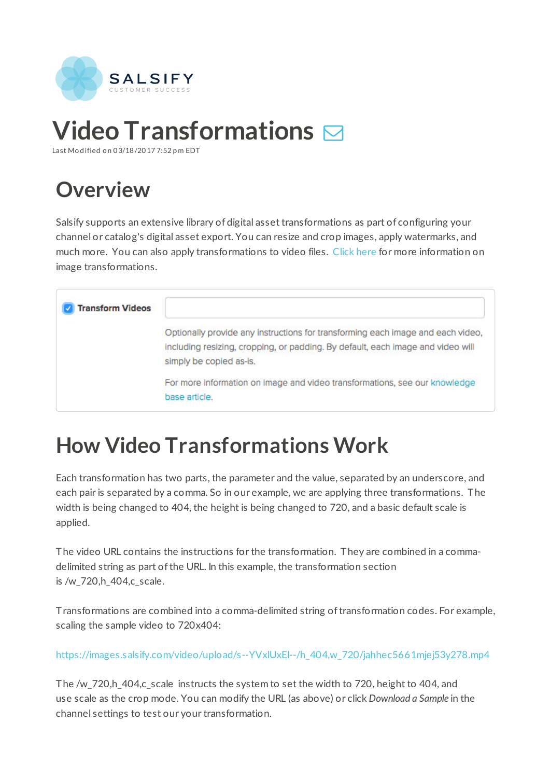

# **Video Transformations**

Last Mo d ified o n 03/18/2017 7:52 p m EDT

## **Overview**

Salsify supports an extensive library of digital asset transformations as part of configuring your channel or catalog's digital asset export. You can resize and crop images, apply watermarks, and much more. You can also apply transformations to video files. Click here for more information on image transformations.

| <b>Transform Videos</b> |                                                                                                                                                                                               |
|-------------------------|-----------------------------------------------------------------------------------------------------------------------------------------------------------------------------------------------|
|                         | Optionally provide any instructions for transforming each image and each video,<br>including resizing, cropping, or padding. By default, each image and video will<br>simply be copied as-is. |
|                         | For more information on image and video transformations, see our knowledge<br>base article.                                                                                                   |

### **How Video Transformations Work**

Each transformation has two parts, the parameter and the value, separated by an underscore, and each pair is separated by a comma. So in our example, we are applying three transformations. The width is being changed to 404, the height is being changed to 720, and a basic default scale is applied.

The video URL contains the instructions for the transformation. They are combined in a commadelimited string as part of the URL. In this example, the transformation section is /w\_720,h\_404,c\_scale.

Transformations are combined into a comma-delimited string oftransformation codes. For example, scaling the sample video to 720x404:

https://images.salsify.com/video/upload/s--YVxlUxEl--/h\_404,w\_720/jahhec5661mjej53y278.mp4

The /w\_720,h\_404,c\_scale instructs the system to set the width to 720, height to 404, and use scale as the crop mode. You can modify the URL (as above) or click *Download a Sample* in the channel settings to test our your transformation.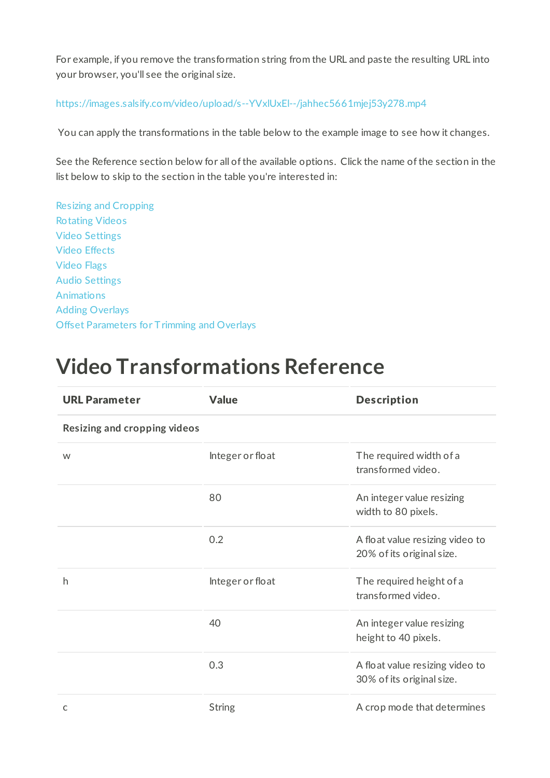For example, if you remove the transformation string from the URL and paste the resulting URL into your browser, you'll see the original size.

### https://images.salsify.com/video/upload/s--YVxlUxEl--/jahhec5661mjej53y278.mp4

You can apply the transformations in the table below to the example image to see how it changes.

See the Reference section below for all of the available options. Click the name of the section in the list below to skip to the section in the table you're interested in:

Resizing and Cropping Rotating Videos Video Settings Video Effects Video Flags Audio Settings Animations Adding Overlays Offset Parameters for Trimming and Overlays

### **Video Transformations Reference**

| <b>URL Parameter</b>                | <b>Value</b>     | <b>Description</b>                                           |
|-------------------------------------|------------------|--------------------------------------------------------------|
| <b>Resizing and cropping videos</b> |                  |                                                              |
| W                                   | Integer or float | The required width of a<br>transformed video.                |
|                                     | 80               | An integer value resizing<br>width to 80 pixels.             |
|                                     | 0.2              | A float value resizing video to<br>20% of its original size. |
| h                                   | Integer or float | The required height of a<br>transformed video.               |
|                                     | 40               | An integer value resizing<br>height to 40 pixels.            |
|                                     | 0.3              | A float value resizing video to<br>30% of its original size. |
| C                                   | <b>String</b>    | A crop mode that determines                                  |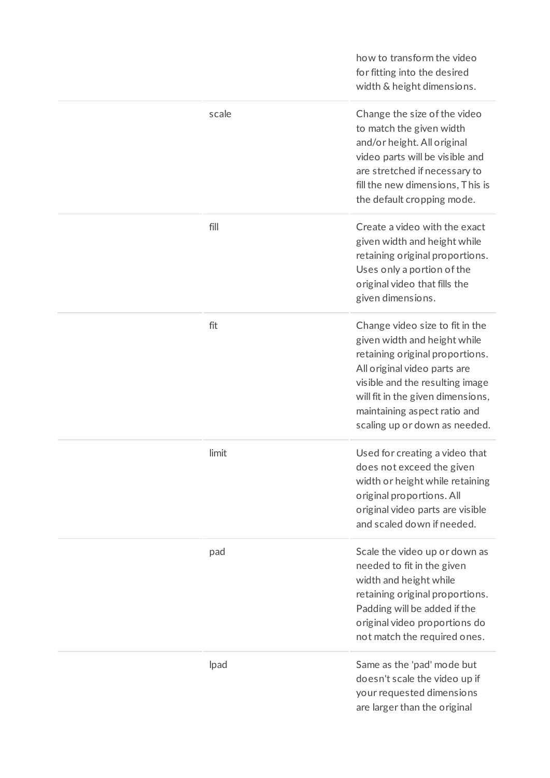|       | how to transform the video<br>for fitting into the desired<br>width & height dimensions.                                                                                                                                                                                    |
|-------|-----------------------------------------------------------------------------------------------------------------------------------------------------------------------------------------------------------------------------------------------------------------------------|
| scale | Change the size of the video<br>to match the given width<br>and/or height. All original<br>video parts will be visible and<br>are stretched if necessary to<br>fill the new dimensions, This is<br>the default cropping mode.                                               |
| fill  | Create a video with the exact<br>given width and height while<br>retaining original proportions.<br>Uses only a portion of the<br>original video that fills the<br>given dimensions.                                                                                        |
| fit   | Change video size to fit in the<br>given width and height while<br>retaining original proportions.<br>All original video parts are<br>visible and the resulting image<br>will fit in the given dimensions,<br>maintaining aspect ratio and<br>scaling up or down as needed. |
| limit | Used for creating a video that<br>does not exceed the given<br>width or height while retaining<br>original proportions. All<br>original video parts are visible<br>and scaled down if needed.                                                                               |
| pad   | Scale the video up or down as<br>needed to fit in the given<br>width and height while<br>retaining original proportions.<br>Padding will be added if the<br>original video proportions do<br>not match the required ones.                                                   |
| lpad  | Same as the 'pad' mode but<br>doesn't scale the video up if<br>your requested dimensions<br>are larger than the original                                                                                                                                                    |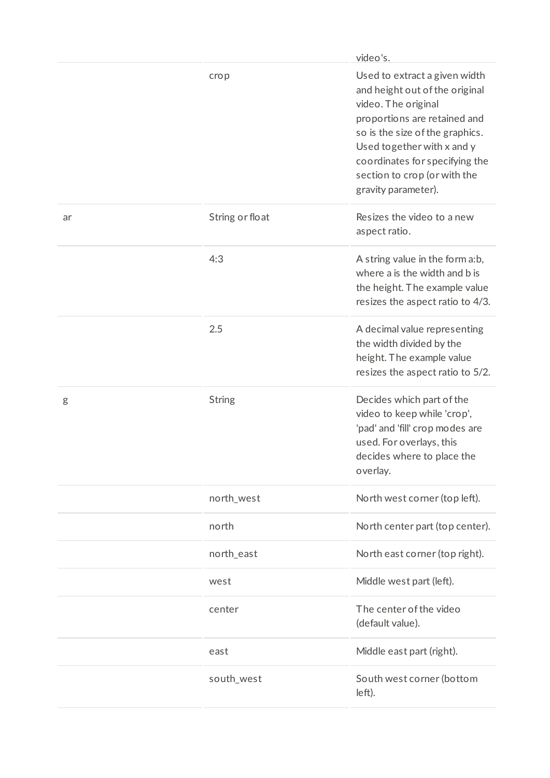|    |                 | video's.                                                                                                                                                                                                                                                                         |
|----|-----------------|----------------------------------------------------------------------------------------------------------------------------------------------------------------------------------------------------------------------------------------------------------------------------------|
|    | crop            | Used to extract a given width<br>and height out of the original<br>video. The original<br>proportions are retained and<br>so is the size of the graphics.<br>Used together with x and y<br>coordinates for specifying the<br>section to crop (or with the<br>gravity parameter). |
| ar | String or float | Resizes the video to a new<br>aspect ratio.                                                                                                                                                                                                                                      |
|    | 4:3             | A string value in the form a:b,<br>where a is the width and b is<br>the height. The example value<br>resizes the aspect ratio to 4/3.                                                                                                                                            |
|    | 2.5             | A decimal value representing<br>the width divided by the<br>height. The example value<br>resizes the aspect ratio to 5/2.                                                                                                                                                        |
| g  | <b>String</b>   | Decides which part of the<br>video to keep while 'crop',<br>'pad' and 'fill' crop modes are<br>used. For overlays, this<br>decides where to place the<br>overlay.                                                                                                                |
|    | north_west      | North west corner (top left).                                                                                                                                                                                                                                                    |
|    | north           | North center part (top center).                                                                                                                                                                                                                                                  |
|    | north_east      | North east corner (top right).                                                                                                                                                                                                                                                   |
|    | west            | Middle west part (left).                                                                                                                                                                                                                                                         |
|    | center          | The center of the video<br>(default value).                                                                                                                                                                                                                                      |
|    | east            | Middle east part (right).                                                                                                                                                                                                                                                        |
|    | south_west      | South west corner (bottom<br>left).                                                                                                                                                                                                                                              |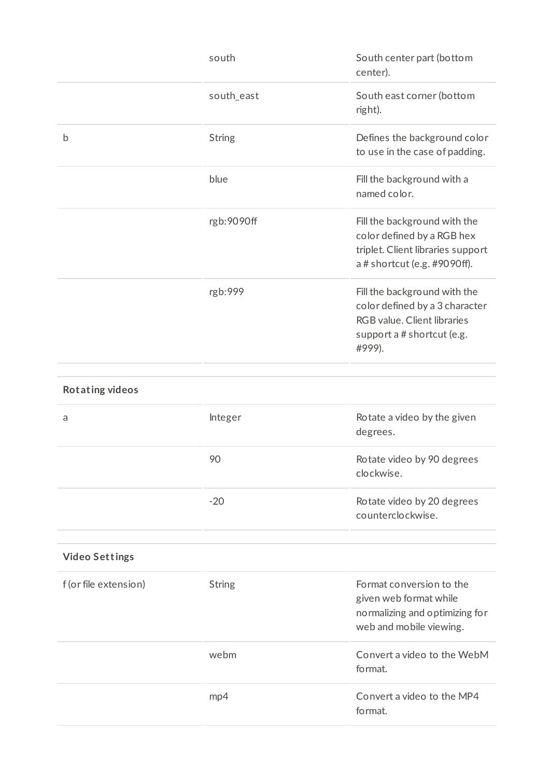|                        | south         | South center part (bottom<br>center).                                                                                                 |
|------------------------|---------------|---------------------------------------------------------------------------------------------------------------------------------------|
|                        | south_east    | South east corner (bottom<br>right).                                                                                                  |
| b                      | <b>String</b> | Defines the background color<br>to use in the case of padding.                                                                        |
|                        | blue          | Fill the background with a<br>named color.                                                                                            |
|                        | rgb:9090ff    | Fill the background with the<br>color defined by a RGB hex<br>triplet. Client libraries support<br>a # shortcut (e.g. #9090ff).       |
|                        | rgb:999       | Fill the background with the<br>color defined by a 3 character<br>RGB value. Client libraries<br>support a # shortcut (e.g.<br>#999). |
| <b>Rotating videos</b> |               |                                                                                                                                       |
| a                      | Integer       | Rotate a video by the given<br>degrees.                                                                                               |
|                        | 90            | Rotate video by 90 degrees<br>clockwise.                                                                                              |
|                        | $-20$         | Rotate video by 20 degrees<br>counterclockwise.                                                                                       |
| <b>Video Settings</b>  |               |                                                                                                                                       |
| f (or file extension)  | <b>String</b> | Format conversion to the<br>given web format while<br>normalizing and optimizing for<br>web and mobile viewing.                       |
|                        | webm          | Convert a video to the WebM<br>format.                                                                                                |
|                        | mp4           | Convert a video to the MP4<br>format.                                                                                                 |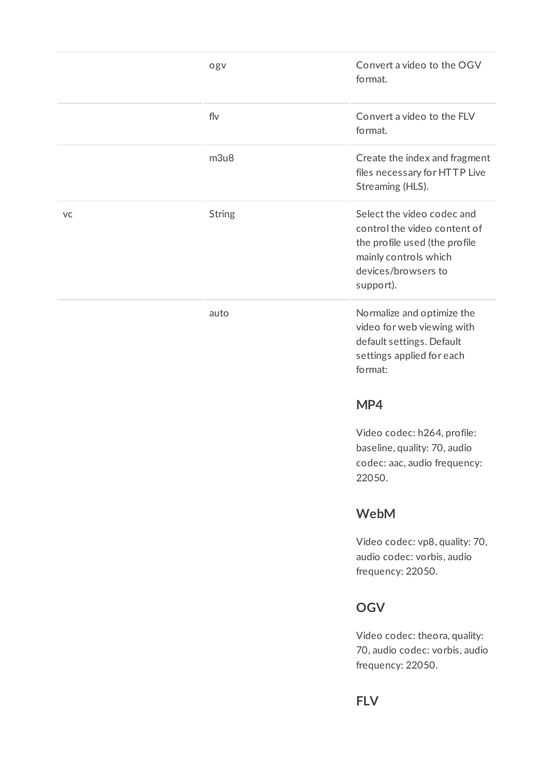|    | ogv           | Convert a video to the OGV<br>format.                                                                                                                    |
|----|---------------|----------------------------------------------------------------------------------------------------------------------------------------------------------|
|    | flv           | Convert a video to the FLV<br>format.                                                                                                                    |
|    | m3u8          | Create the index and fragment<br>files necessary for HTTP Live<br>Streaming (HLS).                                                                       |
| VC | <b>String</b> | Select the video codec and<br>control the video content of<br>the profile used (the profile<br>mainly controls which<br>devices/browsers to<br>support). |
|    | auto          | Normalize and optimize the<br>video for web viewing with<br>default settings. Default<br>settings applied for each<br>format:                            |
|    |               | MP4                                                                                                                                                      |
|    |               | Video codec: h264, profile:<br>baseline, quality: 70, audio<br>codec: aac, audio frequency:<br>22050.                                                    |
|    |               | <b>WebM</b>                                                                                                                                              |
|    |               | Video codec: vp8, quality: 70,<br>audio codec: vorbis, audio<br>frequency: 22050.                                                                        |
|    |               | <b>OGV</b>                                                                                                                                               |
|    |               |                                                                                                                                                          |

Video codec: theora, quality: 70, audio codec: vorbis, audio frequency: 22050.

**FLV**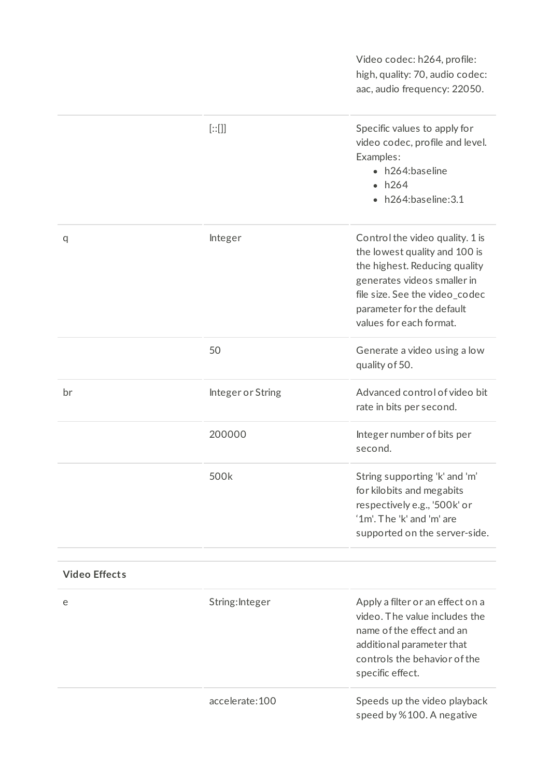Video codec: h264, profile: high, quality: 70, audio codec: aac, audio frequency: 22050. [::[]] Specific values to apply for video codec, profile and level. Examples: h264:baseline  $\cdot$  h264 h264:baseline:3.1 q and Integer control the video quality. 1 is the lowest quality and 100 is the highest. Reducing quality generates videos smaller in file size. See the video codec parameter for the default values for each format. 50 Generate a video using a low quality of 50. br Integer or String Advanced control of video bit rate in bits per second. 200000 Integer number of bits per second. 500k String supporting 'k' and 'm' for kilobits and megabits respectively e.g., '500k' or '1m'. The 'k' and 'm' are supported on the server-side. **Video Effect s**

| e | String: Integer | Apply a filter or an effect on a<br>video. The value includes the<br>name of the effect and an<br>additional parameter that<br>controls the behavior of the<br>specific effect. |
|---|-----------------|---------------------------------------------------------------------------------------------------------------------------------------------------------------------------------|
|   | accelerate: 100 | Speeds up the video playback<br>speed by %100. A negative                                                                                                                       |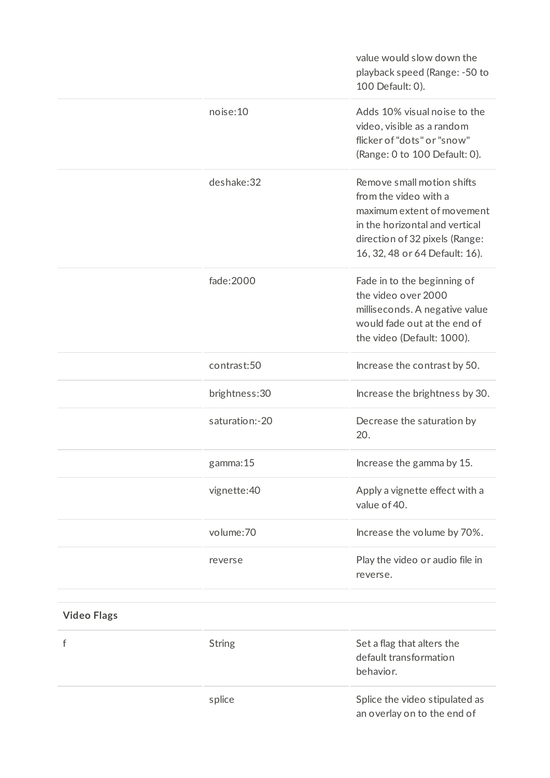|                    |                | value would slow down the<br>playback speed (Range: -50 to<br>100 Default: 0).                                                                                                          |
|--------------------|----------------|-----------------------------------------------------------------------------------------------------------------------------------------------------------------------------------------|
|                    | noise:10       | Adds 10% visual noise to the<br>video, visible as a random<br>flicker of "dots" or "snow"<br>(Range: 0 to 100 Default: 0).                                                              |
|                    | deshake:32     | Remove small motion shifts<br>from the video with a<br>maximum extent of movement<br>in the horizontal and vertical<br>direction of 32 pixels (Range:<br>16, 32, 48 or 64 Default: 16). |
|                    | fade: 2000     | Fade in to the beginning of<br>the video over 2000<br>milliseconds. A negative value<br>would fade out at the end of<br>the video (Default: 1000).                                      |
|                    | contrast:50    | Increase the contrast by 50.                                                                                                                                                            |
|                    | brightness: 30 | Increase the brightness by 30.                                                                                                                                                          |
|                    | saturation:-20 | Decrease the saturation by<br>20.                                                                                                                                                       |
|                    | gamma:15       | Increase the gamma by 15.                                                                                                                                                               |
|                    | vignette: 40   | Apply a vignette effect with a<br>value of 40.                                                                                                                                          |
|                    | volume: 70     | Increase the volume by 70%.                                                                                                                                                             |
|                    | reverse        | Play the video or audio file in<br>reverse.                                                                                                                                             |
| <b>Video Flags</b> |                |                                                                                                                                                                                         |
| f                  | <b>String</b>  | Set a flag that alters the<br>default transformation<br>behavior.                                                                                                                       |
|                    | splice         | Splice the video stipulated as<br>an overlay on to the end of                                                                                                                           |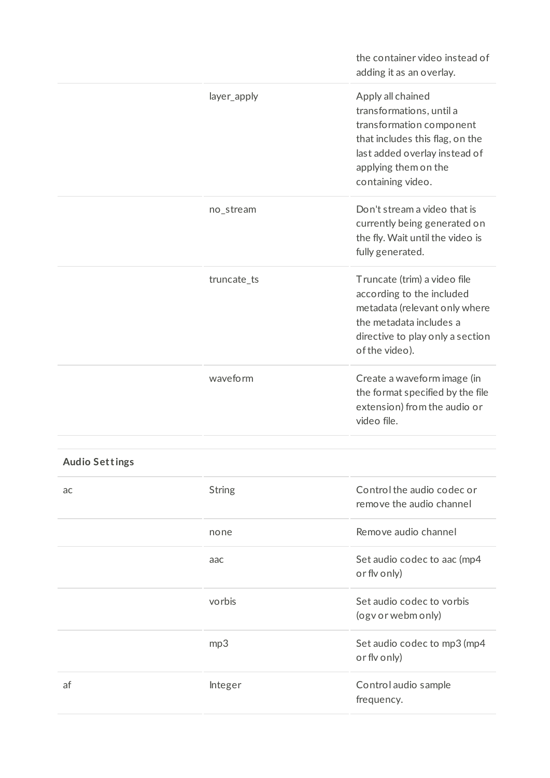|                       |               | the container video instead of<br>adding it as an overlay.                                                                                                                                 |
|-----------------------|---------------|--------------------------------------------------------------------------------------------------------------------------------------------------------------------------------------------|
|                       | layer_apply   | Apply all chained<br>transformations, until a<br>transformation component<br>that includes this flag, on the<br>last added overlay instead of<br>applying them on the<br>containing video. |
|                       | no_stream     | Don't stream a video that is<br>currently being generated on<br>the fly. Wait until the video is<br>fully generated.                                                                       |
|                       | truncate_ts   | Truncate (trim) a video file<br>according to the included<br>metadata (relevant only where<br>the metadata includes a<br>directive to play only a section<br>of the video).                |
|                       | waveform      | Create a waveform image (in<br>the format specified by the file<br>extension) from the audio or<br>video file.                                                                             |
| <b>Audio Settings</b> |               |                                                                                                                                                                                            |
| ac                    | <b>String</b> | Control the audio codec or<br>remove the audio channel                                                                                                                                     |
|                       | none          | Remove audio channel                                                                                                                                                                       |
|                       | aac           | Set audio codec to aac (mp4<br>or flv only)                                                                                                                                                |
|                       | vorbis        | Set audio codec to vorbis<br>(ogv or webm only)                                                                                                                                            |
|                       | mp3           | Set audio codec to mp3 (mp4<br>or flv only)                                                                                                                                                |
| af                    | Integer       | Control audio sample<br>frequency.                                                                                                                                                         |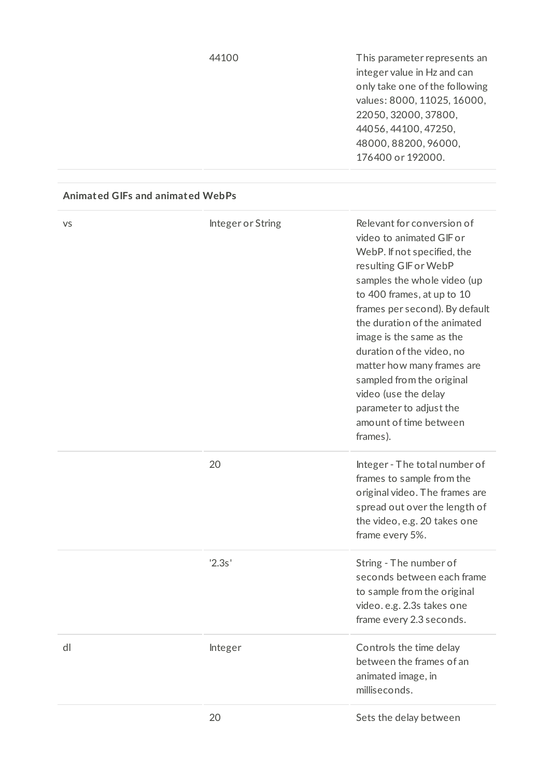44100 This parameter represents an integer value in Hz and can only take one ofthe following values: 8000, 11025, 16000, 22050, 32000, 37800, 44056, 44100, 47250, 48000, 88200, 96000, 176400 or 192000.

#### **Animated GIFs and animated WebPs**

| VS | Integer or String | Relevant for conversion of<br>video to animated GIF or<br>WebP. If not specified, the<br>resulting GIF or WebP<br>samples the whole video (up<br>to 400 frames, at up to 10<br>frames per second). By default<br>the duration of the animated<br>image is the same as the<br>duration of the video, no<br>matter how many frames are<br>sampled from the original<br>video (use the delay<br>parameter to adjust the<br>amount of time between<br>frames). |
|----|-------------------|------------------------------------------------------------------------------------------------------------------------------------------------------------------------------------------------------------------------------------------------------------------------------------------------------------------------------------------------------------------------------------------------------------------------------------------------------------|
|    | 20                | Integer - The total number of<br>frames to sample from the<br>original video. The frames are<br>spread out over the length of<br>the video, e.g. 20 takes one<br>frame every 5%.                                                                                                                                                                                                                                                                           |
|    | '2.3s'            | String - The number of<br>seconds between each frame<br>to sample from the original<br>video. e.g. 2.3s takes one<br>frame every 2.3 seconds.                                                                                                                                                                                                                                                                                                              |
| dl | Integer           | Controls the time delay<br>between the frames of an<br>animated image, in<br>milliseconds.                                                                                                                                                                                                                                                                                                                                                                 |
|    | 20                | Sets the delay between                                                                                                                                                                                                                                                                                                                                                                                                                                     |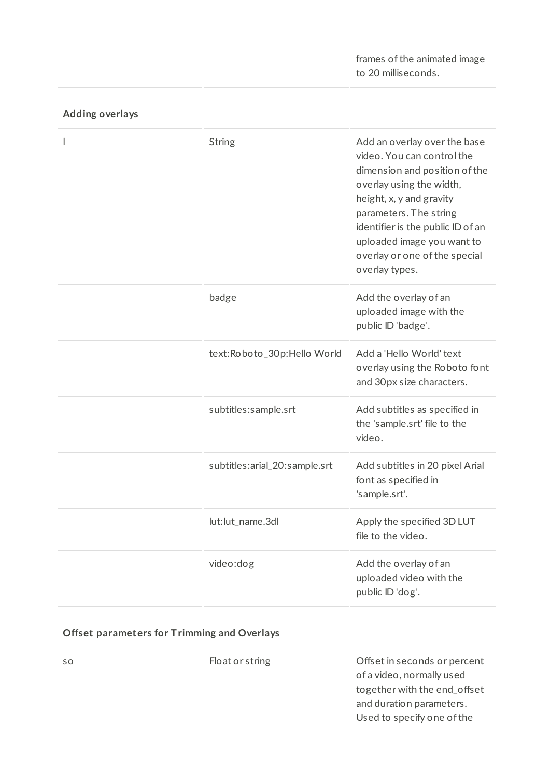frames of the animated image to 20 milliseconds.

| Adding overlays |                               |                                                                                                                                                                                                                                                                                                     |
|-----------------|-------------------------------|-----------------------------------------------------------------------------------------------------------------------------------------------------------------------------------------------------------------------------------------------------------------------------------------------------|
| I               | <b>String</b>                 | Add an overlay over the base<br>video. You can control the<br>dimension and position of the<br>overlay using the width,<br>height, x, y and gravity<br>parameters. The string<br>identifier is the public ID of an<br>uploaded image you want to<br>overlay or one of the special<br>overlay types. |
|                 | badge                         | Add the overlay of an<br>uploaded image with the<br>public ID 'badge'.                                                                                                                                                                                                                              |
|                 | text:Roboto_30p:Hello World   | Add a 'Hello World' text<br>overlay using the Roboto font<br>and 30px size characters.                                                                                                                                                                                                              |
|                 | subtitles:sample.srt          | Add subtitles as specified in<br>the 'sample.srt' file to the<br>video.                                                                                                                                                                                                                             |
|                 | subtitles:arial_20:sample.srt | Add subtitles in 20 pixel Arial<br>font as specified in<br>'sample.srt'.                                                                                                                                                                                                                            |
|                 | lut:lut_name.3dl              | Apply the specified 3D LUT<br>file to the video.                                                                                                                                                                                                                                                    |
|                 | video:dog                     | Add the overlay of an<br>uploaded video with the<br>public ID 'dog'.                                                                                                                                                                                                                                |

#### **Adding overlays**

### **Offset parameters for Trimming and Overlays**

so Float or string Constructure Construction of the Construction of the Float or string Construction of the Construction of the Construction of the Construction of the Construction of the Construction of the Construction o of a video, normally used together with the end\_offset and duration parameters. Used to specify one of the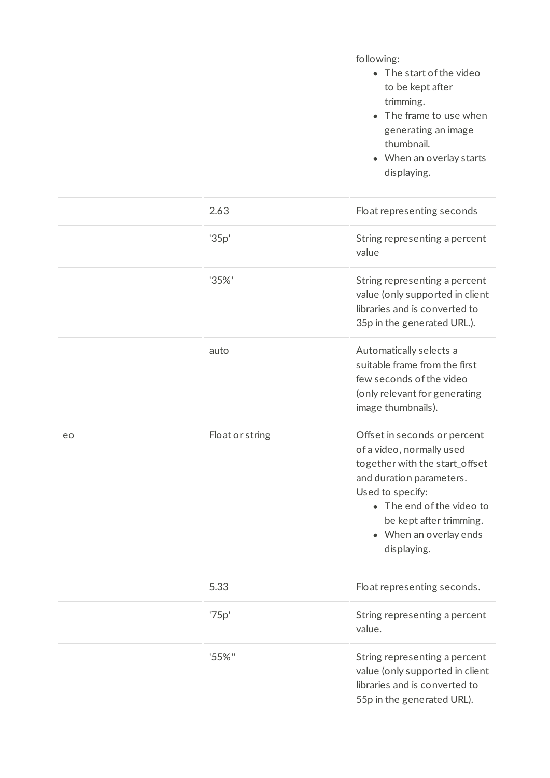following:

- $\bullet$  The start of the video to be kept after trimming.
- The frame to use when generating an image thumbnail.
- When an overlay starts displaying.

|    | 2.63            | Float representing seconds                                                                                                                                                                                                                   |
|----|-----------------|----------------------------------------------------------------------------------------------------------------------------------------------------------------------------------------------------------------------------------------------|
|    | '35p'           | String representing a percent<br>value                                                                                                                                                                                                       |
|    | '35%'           | String representing a percent<br>value (only supported in client<br>libraries and is converted to<br>35p in the generated URL.).                                                                                                             |
|    | auto            | Automatically selects a<br>suitable frame from the first<br>few seconds of the video<br>(only relevant for generating<br>image thumbnails).                                                                                                  |
| eo | Float or string | Offset in seconds or percent<br>of a video, normally used<br>together with the start_offset<br>and duration parameters.<br>Used to specify:<br>• The end of the video to<br>be kept after trimming.<br>• When an overlay ends<br>displaying. |
|    | 5.33            | Float representing seconds.                                                                                                                                                                                                                  |
|    | '75p'           | String representing a percent<br>value.                                                                                                                                                                                                      |
|    | '55%"           | String representing a percent<br>value (only supported in client<br>libraries and is converted to<br>55p in the generated URL).                                                                                                              |